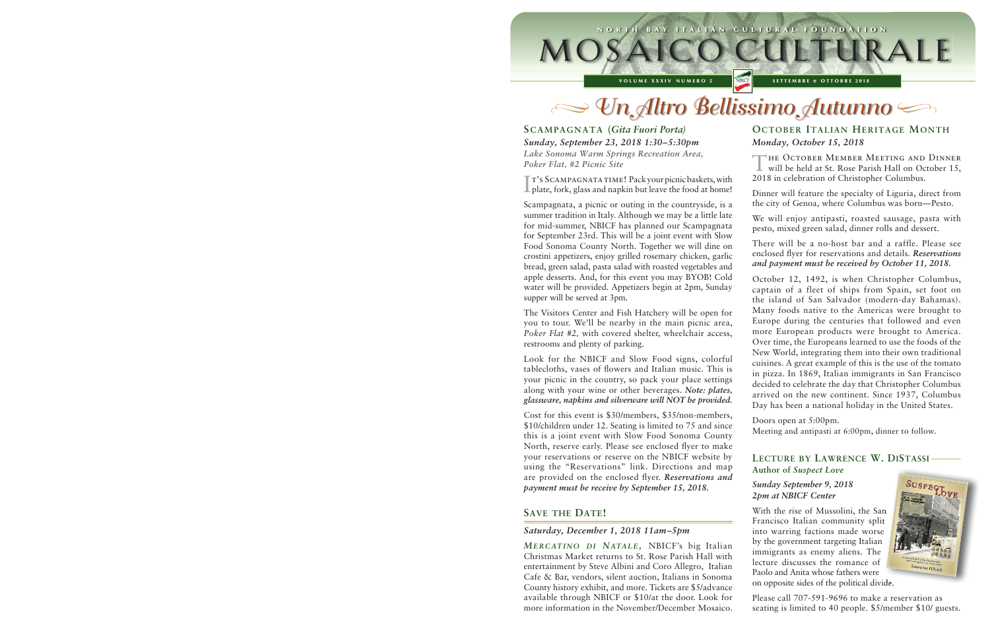NORTH BAY ITALIAN CULTURAL FOUNDATION



## **Scampagnata (***Gita Fuori Porta) Sunday, September 23, 2018 1:30–5:30pm*

*Lake Sonoma Warm Springs Recreation Area, Poker Flat, #2 Picnic Site*

I plate, fork, glass and napkin but leave the food at home! t's Scampagnata time! Pack your picnic baskets, with

Scampagnata, a picnic or outing in the countryside, is a summer tradition in Italy. Although we may be a little late for mid-summer, NBICF has planned our Scampagnata for September 23rd. This will be a joint event with Slow Food Sonoma County North. Together we will dine on crostini appetizers, enjoy grilled rosemary chicken, garlic bread, green salad, pasta salad with roasted vegetables and apple desserts. And, for this event you may BYOB! Cold water will be provided. Appetizers begin at 2pm, Sunday supper will be served at 3pm.

The Visitors Center and Fish Hatchery will be open for you to tour. We'll be nearby in the main picnic area, *Poker Flat #2,* with covered shelter, wheelchair access, restrooms and plenty of parking.

Look for the NBICF and Slow Food signs, colorful tablecloths, vases of flowers and Italian music. This is your picnic in the country, so pack your place settings along with your wine or other beverages. *Note: plates, glassware, napkins and silverware will NOT be provided.*

Cost for this event is \$30/members, \$35/non-members, \$10/children under 12. Seating is limited to 75 and since this is a joint event with Slow Food Sonoma County North, reserve early. Please see enclosed flyer to make your reservations or reserve on the NBICF website by using the "Reservations" link. Directions and map are provided on the enclosed flyer. *Reservations and payment must be receive by September 15, 2018.*

## **SAVE THE DATE!**

## *Saturday, December 1, 2018 11am–5pm*

*MERCATINO DI NATALE, NBICF's big Italian* Christmas Market returns to St. Rose Parish Hall with entertainment by Steve Albini and Coro Allegro, Italian Cafe & Bar, vendors, silent auction, Italians in Sonoma County history exhibit, and more. Tickets are \$5/advance available through NBICF or \$10/at the door. Look for more information in the November/December Mosaico.

## **OCTOBER ITALIAN HERITAGE MONTH** *Monday, October 15, 2018*

The October Member Meeting and Dinner will be held at St. Rose Parish Hall on October 15, 2018 in celebration of Christopher Columbus.

Dinner will feature the specialty of Liguria, direct from the city of Genoa, where Columbus was born—Pesto.

We will enjoy antipasti, roasted sausage, pasta with pesto, mixed green salad, dinner rolls and dessert.

There will be a no-host bar and a raffle. Please see enclosed flyer for reservations and details. *Reservations and payment must be received by October 11, 2018.*

October 12, 1492, is when Christopher Columbus, captain of a fleet of ships from Spain, set foot on the island of San Salvador (modern-day Bahamas). Many foods native to the Americas were brought to Europe during the centuries that followed and even more European products were brought to America. Over time, the Europeans learned to use the foods of the New World, integrating them into their own traditional cuisines. A great example of this is the use of the tomato in pizza. In 1869, Italian immigrants in San Francisco decided to celebrate the day that Christopher Columbus arrived on the new continent. Since 1937, Columbus Day has been a national holiday in the United States. **Un Altro Bellissimo Autunno**<br> **CA (Gita Fuori Porta)** OCTOBER ITALIAN HERITA<br>
or 23, 2018 1:30-5:30pm<br>
monday, October 15, 2018<br>
mis forms Recreation Area,<br>
materials Recreation Area,<br>
This is the Unitly Beleid at St. Ros

Doors open at 5:00pm. Meeting and antipasti at 6:00pm, dinner to follow.

## **LECTURE BY LAWRENCE W. DISTASSI -Author of** *Suspect Love*

## *Sunday September 9, 2018 2pm at NBICF Center*

With the rise of Mussolini, the San Francisco Italian community split into warring factions made worse by the government targeting Italian immigrants as enemy aliens. The lecture discusses the romance of Paolo and Anita whose fathers were on opposite sides of the political divide.



Please call 707-591-9696 to make a reservation as seating is limited to 40 people. \$5/member \$10/ guests.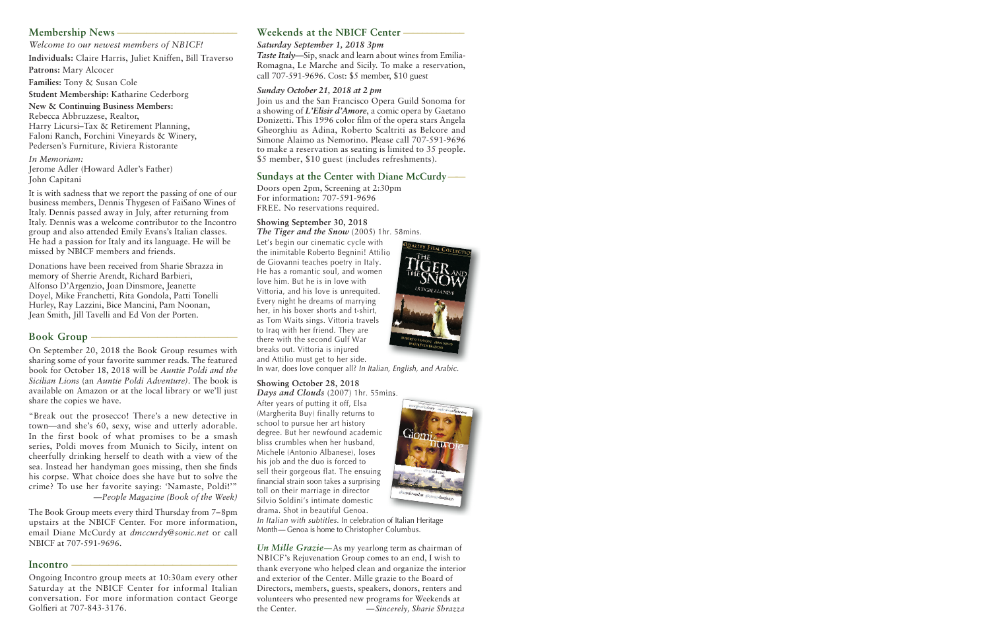*Welcome to our newest members of NBICF!* **Individuals:** Claire Harris, Juliet Kniffen, Bill Traverso

**Patrons:** Mary Alcocer

**Families:** Tony & Susan Cole

**Student Membership:** Katharine Cederborg

**New & Continuing Business Members:**

Rebecca Abbruzzese, Realtor, Harry Licursi–Tax & Retirement Planning, Faloni Ranch, Forchini Vineyards & Winery, Pedersen's Furniture, Riviera Ristorante

*In Memoriam:* Jerome Adler (Howard Adler's Father) John Capitani

It is with sadness that we report the passing of one of our business members, Dennis Thygesen of FaiSano Wines of Italy. Dennis passed away in July, after returning from Italy. Dennis was a welcome contributor to the Incontro group and also attended Emily Evans's Italian classes. He had a passion for Italy and its language. He will be missed by NBICF members and friends.

Donations have been received from Sharie Sbrazza in memory of Sherrie Arendt, Richard Barbieri, Alfonso D'Argenzio, Joan Dinsmore, Jeanette Doyel, Mike Franchetti, Rita Gondola, Patti Tonelli Hurley, Ray Lazzini, Bice Mancini, Pam Noonan, Jean Smith, Jill Tavelli and Ed Von der Porten.

## Book Group –

On September 20, 2018 the Book Group resumes with sharing some of your favorite summer reads. The featured book for October 18, 2018 will be *Auntie Poldi and the Sicilian Lions* (an *Auntie Poldi Adventure)*. The book is available on Amazon or at the local library or we'll just share the copies we have.

"Break out the prosecco! There's a new detective in town—and she's 60, sexy, wise and utterly adorable. In the first book of what promises to be a smash series, Poldi moves from Munich to Sicily, intent on cheerfully drinking herself to death with a view of the sea. Instead her handyman goes missing, then she finds his corpse. What choice does she have but to solve the crime? To use her favorite saying: 'Namaste, Poldi!'" *—People Magazine (Book of the Week)*

The Book Group meets every third Thursday from 7–8pm upstairs at the NBICF Center. For more information, email Diane McCurdy at *dmccurdy@sonic.net* or call NBICF at 707-591-9696.

## Incontro –

Ongoing Incontro group meets at 10:30am every other Saturday at the NBICF Center for informal Italian conversation. For more information contact George Golfieri at 707-843-3176.

## **Membership News ———————————––– travel newS : Andiamo / Let's Go! ————— Weekends at the NBICF Center —–––––––––––**

## *Saturday September 1, 2018 3pm*

*Taste Italy*—Sip, snack and learn about wines from Emilia-Romagna, Le Marche and Sicily. To make a reservation, call 707-591-9696. Cost: \$5 member, \$10 guest

## *Sunday October 21, 2018 at 2 pm*

Join us and the San Francisco Opera Guild Sonoma for a showing of *L'Elisir d'Amore*, a comic opera by Gaetano Donizetti. This 1996 color film of the opera stars Angela Gheorghiu as Adina, Roberto Scaltriti as Belcore and Simone Alaimo as Nemorino. Please call 707-591-9696 to make a reservation as seating is limited to 35 people. \$5 member, \$10 guest (includes refreshments).

## **Sundays at the Center with Diane McCurdy——**

Doors open 2pm, Screening at 2:30pm For information: 707-591-9696 FREE. No reservations required.

## **Showing September 30, 2018**

*The Tiger and the Snow* (2005) 1hr. 58mins.

Let's begin our cinematic cycle with the inimitable Roberto Begnini! Attilio de Giovanni teaches poetry in Italy. He has a romantic soul, and women love him. But he is in love with Vittoria, and his love is unrequited. Every night he dreams of marrying her, in his boxer shorts and t-shirt, as Tom Waits sings. Vittoria travels to Iraq with her friend. They are there with the second Gulf War breaks out. Vittoria is injured and Attilio must get to her side.



In war, does love conquer all? *In Italian, English, and Arabic.* 

## **Showing October 28, 2018**

*Days and Clouds* (2007) 1hr. 55mins.

After years of putting it off, Elsa (Margherita Buy) finally returns to school to pursue her art history degree. But her newfound academic bliss crumbles when her husband, Michele (Antonio Albanese), loses his job and the duo is forced to sell their gorgeous flat. The ensuing financial strain soon takes a surprising toll on their marriage in director Silvio Soldini's intimate domestic drama. Shot in beautiful Genoa.



*In Italian with subtitles.* In celebration of Italian Heritage Month— Genoa is home to Christopher Columbus.

*Un Mille Grazie—*As my yearlong term as chairman of NBICF's Rejuvenation Group comes to an end, I wish to thank everyone who helped clean and organize the interior and exterior of the Center. Mille grazie to the Board of Directors, members, guests, speakers, donors, renters and volunteers who presented new programs for Weekends at the Center. *—Sincerely, Sharie Sbrazza*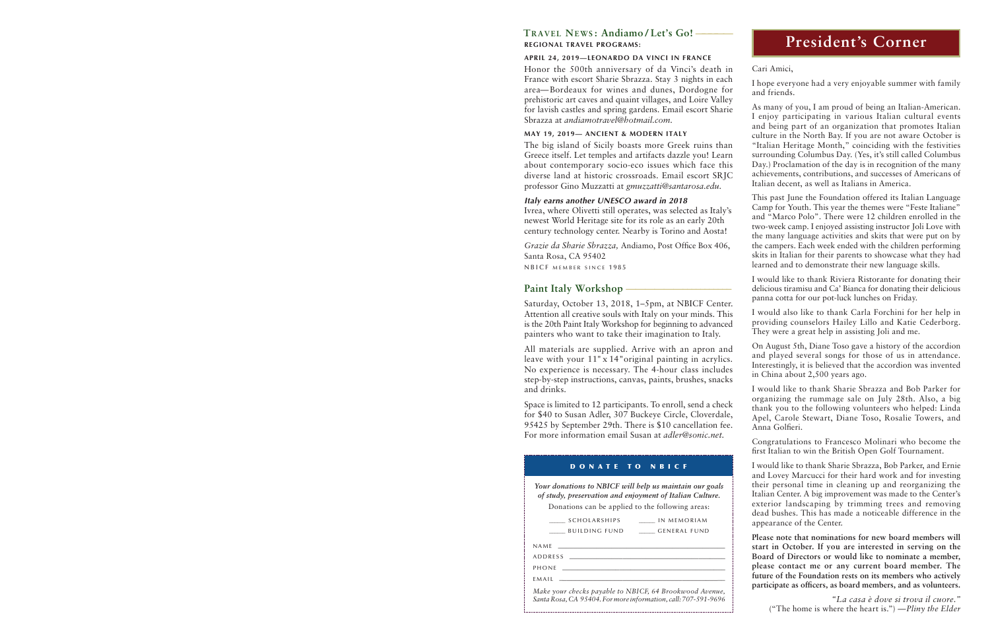## $T$ RAVEL NEWS: Andiamo/Let's Go! -**REGIONAL TRAVEL PROGRAMS:**

## **APRIL 24, 2019—LEONARDO DA VINCI IN FRANCE**

Honor the 500th anniversary of da Vinci's death in France with escort Sharie Sbrazza. Stay 3 nights in each area—Bordeaux for wines and dunes, Dordogne for prehistoric art caves and quaint villages, and Loire Valley for lavish castles and spring gardens. Email escort Sharie Sbrazza at *andiamotravel@hotmail.com.*

## **MAY 19, 2019— ANCIENT & MODERN ITALY**

The big island of Sicily boasts more Greek ruins than Greece itself. Let temples and artifacts dazzle you! Learn about contemporary socio-eco issues which face this diverse land at historic crossroads. Email escort SRJC professor Gino Muzzatti at *gmuzzatti@santarosa.edu.*

## *Italy earns another UNESCO award in 2018*

Ivrea, where Olivetti still operates, was selected as Italy's newest World Heritage site for its role as an early 20th century technology center. Nearby is Torino and Aosta!

*Grazie da Sharie Sbrazza,* Andiamo, Post Office Box 406, Santa Rosa, CA 95402 NBICF MEMBER SINCE 1985

## Paint Italy Workshop -

Saturday, October 13, 2018, 1–5pm, at NBICF Center. Attention all creative souls with Italy on your minds. This is the 20th Paint Italy Workshop for beginning to advanced painters who want to take their imagination to Italy.

All materials are supplied. Arrive with an apron and leave with your  $11" \times 14"$  original painting in acrylics. No experience is necessary. The 4-hour class includes step-by-step instructions, canvas, paints, brushes, snacks and drinks.

Space is limited to 12 participants. To enroll, send a check for \$40 to Susan Adler, 307 Buckeye Circle, Cloverdale, 95425 by September 29th. There is \$10 cancellation fee. For more information email Susan at *adler@sonic.net.*

## DONATE TO NBICF

*Your donations to NBICF will help us maintain our goals of study, preservation and enjoyment of Italian Culture.*

Donations can be applied to the following areas:

| <b>SCHOLARSHIPS</b>                                                                                                       | IN MEMORIAM         |
|---------------------------------------------------------------------------------------------------------------------------|---------------------|
| <b>BUILDING FUND</b>                                                                                                      | <b>GENERAL FUND</b> |
|                                                                                                                           |                     |
| NAMF                                                                                                                      |                     |
| ADDRESS ADDRESS                                                                                                           |                     |
| PHONE <b>Example 2008</b>                                                                                                 |                     |
| <b>FMAIL</b>                                                                                                              |                     |
| Make your checks payable to NBICF, 64 Brookwood Avenue,<br>Santa Rosa, CA 95404. For more information, call: 707-591-9696 |                     |

# **President's Corner**

Cari Amici,

I hope everyone had a very enjoyable summer with family and friends.

As many of you, I am proud of being an Italian-American. I enjoy participating in various Italian cultural events and being part of an organization that promotes Italian culture in the North Bay. If you are not aware October is "Italian Heritage Month," coinciding with the festivities surrounding Columbus Day. (Yes, it's still called Columbus Day.) Proclamation of the day is in recognition of the many achievements, contributions, and successes of Americans of Italian decent, as well as Italians in America.

This past June the Foundation offered its Italian Language Camp for Youth. This year the themes were "Feste Italiane" and "Marco Polo". There were 12 children enrolled in the two-week camp. I enjoyed assisting instructor Joli Love with the many language activities and skits that were put on by the campers. Each week ended with the children performing skits in Italian for their parents to showcase what they had learned and to demonstrate their new language skills.

I would like to thank Riviera Ristorante for donating their delicious tiramisu and Ca' Bianca for donating their delicious panna cotta for our pot-luck lunches on Friday.

I would also like to thank Carla Forchini for her help in providing counselors Hailey Lillo and Katie Cederborg. They were a great help in assisting Joli and me.

On August 5th, Diane Toso gave a history of the accordion and played several songs for those of us in attendance. Interestingly, it is believed that the accordion was invented in China about 2,500 years ago.

I would like to thank Sharie Sbrazza and Bob Parker for organizing the rummage sale on July 28th. Also, a big thank you to the following volunteers who helped: Linda Apel, Carole Stewart, Diane Toso, Rosalie Towers, and Anna Golfieri.

Congratulations to Francesco Molinari who become the first Italian to win the British Open Golf Tournament.

I would like to thank Sharie Sbrazza, Bob Parker, and Ernie and Lovey Marcucci for their hard work and for investing their personal time in cleaning up and reorganizing the Italian Center. A big improvement was made to the Center's exterior landscaping by trimming trees and removing dead bushes. This has made a noticeable difference in the appearance of the Center.

**Please note that nominations for new board members will start in October. If you are interested in serving on the Board of Directors or would like to nominate a member, please contact me or any current board member. The future of the Foundation rests on its members who actively participate as officers, as board members, and as volunteers.**

*"La casa è dove si trova il cuore."* ("The home is where the heart is.") *—Pliny the Elder*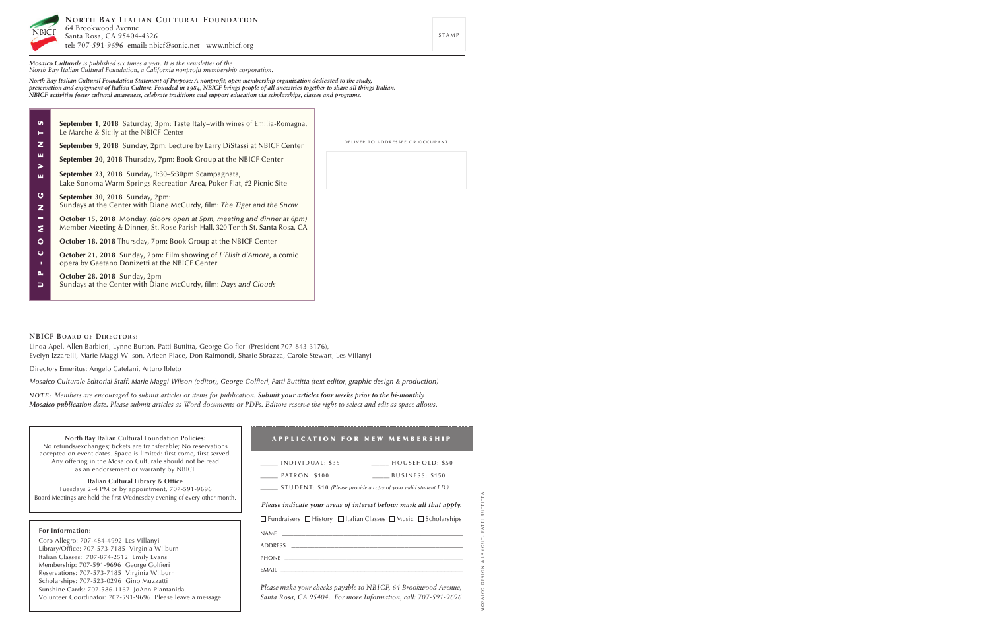

*Mosaico Culturale is published six times a year. It is the newsletter of the North Bay Italian Cultural Foundation, a California nonprofit membership corporation.*

*North Bay Italian Cultural Foundation Statement of Purpose: A nonprofit, open membership organization dedicated to the study, preservation and enjoyment of Italian Culture. Founded in 1984, NBICF brings people of all ancestries together to share all things Italian. NBICF activities foster cultural awareness, celebrate traditions and support education via scholarships, classes and programs.*

| <b>SA</b>    | <b>September 1, 2018</b> Saturday, 3pm: Taste Italy–with wines of Emilia-Romagna,                                           |  |
|--------------|-----------------------------------------------------------------------------------------------------------------------------|--|
| н            | Le Marche & Sicily at the NBICF Center                                                                                      |  |
| z            | September 9, 2018 Sunday, 2pm: Lecture by Larry DiStassi at NBICF Center                                                    |  |
| ш<br>$\geq$  | September 20, 2018 Thursday, 7pm: Book Group at the NBICF Center                                                            |  |
| щ            | September 23, 2018 Sunday, 1:30–5:30pm Scampagnata,<br>Lake Sonoma Warm Springs Recreation Area, Poker Flat, #2 Picnic Site |  |
| U            | September 30, 2018 Sunday, 2pm:                                                                                             |  |
| z            | Sundays at the Center with Diane McCurdy, film: The Tiger and the Snow                                                      |  |
| $\mathbf{r}$ | <b>October 15, 2018</b> Monday, (doors open at 5pm, meeting and dinner at 6pm)                                              |  |
| Σ            | Member Meeting & Dinner, St. Rose Parish Hall, 320 Tenth St. Santa Rosa, CA                                                 |  |
| $\bullet$    | <b>October 18, 2018</b> Thursday, 7pm: Book Group at the NBICF Center                                                       |  |
| $\cup$       | October 21, 2018 Sunday, 2pm: Film showing of L'Elisir d'Amore, a comic                                                     |  |
| n.           | opera by Gaetano Donizetti at the NBICF Center                                                                              |  |
| <b>A</b>     | October 28, 2018 Sunday, 2pm                                                                                                |  |
| ∍            | Sundays at the Center with Diane McCurdy, film: Days and Clouds                                                             |  |
|              |                                                                                                                             |  |

DELIVER TO ADDRESSEE OR OCCUPANT

### **nbIcF bOard OF dIrectOrS:**

Linda Apel, Allen Barbieri, Lynne Burton, Patti Buttitta, George Golfieri (President 707-843-3176), Evelyn Izzarelli, Marie Maggi-Wilson, Arleen Place, Don Raimondi, Sharie Sbrazza, Carole Stewart, Les Villanyi

Directors Emeritus: Angelo Catelani, Arturo Ibleto

*Mosaico Culturale Editorial Staff: Marie Maggi-Wilson (editor), George Golfieri, Patti Buttitta (text editor, graphic design & production)*

*NOTE: Members are encouraged to submit articles or items for publication. Submit your articles four weeks prior to the bi-monthly Mosaico publication date. Please submit articles as Word documents or PDFs. Editors reserve the right to select and edit as space allows.*

## **North Bay Italian Cultural Foundation Policies:** No refunds/exchanges; tickets are transferable; No reservations accepted on event dates. Space is limited: first come, first served. Any offering in the Mosaico Culturale should not be read as an endorsement or warranty by NBICF

**Italian Cultural Library & Office** Tuesdays 2-4 PM or by appointment, 707-591-9696 Board Meetings are held the first Wednesday evening of every other month.

## **For Information:**

Coro Allegro: 707-484-4992 Les Villanyi Library/Office: 707-573-7185 Virginia Wilburn Italian Classes: 707-874-2512 Emily Evans Membership: 707-591-9696 George Golfieri Reservations: 707-573-7185 Virginia Wilburn Scholarships: 707-523-0296 Gino Muzzatti Sunshine Cards: 707-586-1167 JoAnn Piantanida Volunteer Coordinator: 707-591-9696 Please leave a message.

## APPLICATION FOR NEW MEMBERSHIP

| INDIVIDUAL: \$35 | HOUSEHOLD: \$50 |
|------------------|-----------------|
| PATRON: \$100    | BUSINESS: \$150 |

\_\_\_\_\_\_ STUDENT: \$10 *(Please provide a copy of your valid student I.D.)*

## *Please indicate your areas of interest below; mark all that apply.*

 $\Box$  Fundraisers  $\Box$  History  $\Box$  Italian Classes  $\Box$  Music  $\Box$  Scholarships

NAME *\_\_\_\_\_\_\_\_\_\_\_\_\_\_\_\_\_\_\_\_\_\_\_\_\_\_\_\_\_\_\_\_\_\_\_\_\_\_\_\_\_\_\_\_\_\_\_*

ADDRESS *\_\_\_\_\_\_\_\_\_\_\_\_\_\_\_\_\_\_\_\_\_\_\_\_\_\_\_\_\_\_\_\_\_\_\_\_\_\_\_\_\_\_\_\_* PHONE *\_\_\_\_\_\_\_\_\_\_\_\_\_\_\_\_\_\_\_\_\_\_\_\_\_\_\_\_\_\_\_\_\_\_\_\_\_\_\_\_\_\_\_\_\_\_*

EMAIL *\_\_\_\_\_\_\_\_\_\_\_\_\_\_\_\_\_\_\_\_\_\_\_\_\_\_\_\_\_\_\_\_\_\_\_\_\_\_\_\_\_\_\_\_\_\_\_\_\_\_*

*Please make your checks payable to NBICF, 64 Brookwood Avenue, Santa Rosa, CA 95404. For more Information, call: 707-591-9696*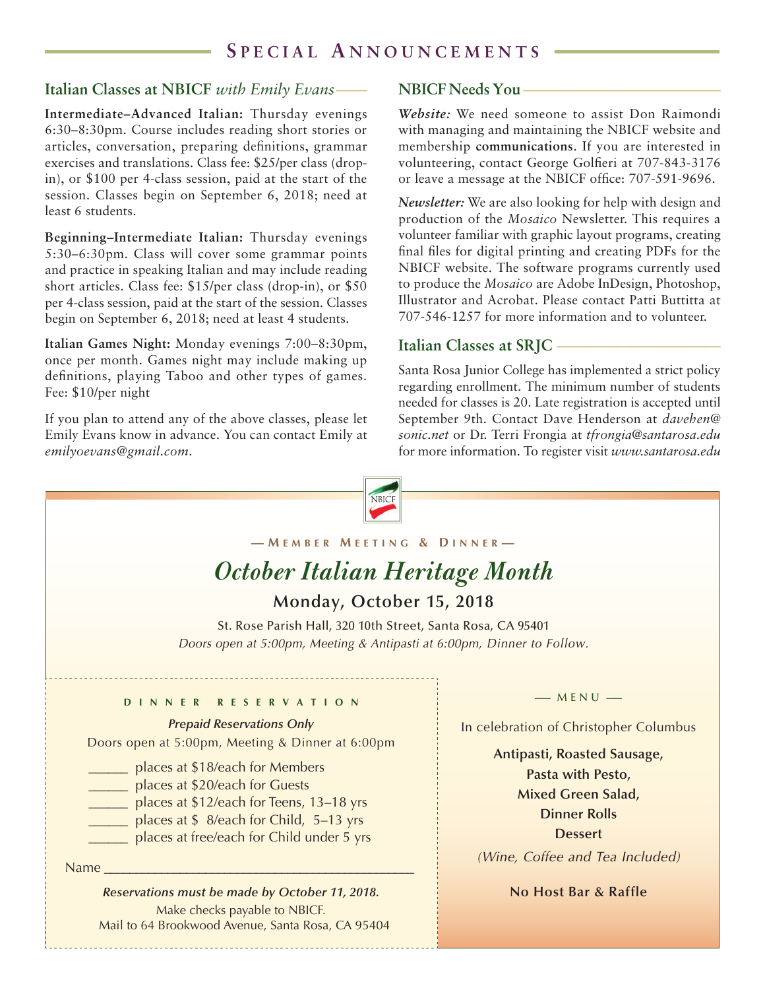## SPECIAL ANNOUNCEMENTS

## Italian Classes at NBICF with Emily Evans-

Intermediate-Advanced Italian: Thursday evenings 6:30-8:30pm. Course includes reading short stories or articles, conversation, preparing definitions, grammar exercises and translations. Class fee: \$25/per class (dropin), or \$100 per 4-class session, paid at the start of the session. Classes begin on September 6, 2018; need at least 6 students.

Beginning-Intermediate Italian: Thursday evenings 5:30–6:30pm. Class will cover some grammar points and practice in speaking Italian and may include reading short articles. Class fee: \$15/per class (drop-in), or \$50 per 4-class session, paid at the start of the session. Classes begin on September 6, 2018; need at least 4 students.

Italian Games Night: Monday evenings 7:00-8:30pm, once per month. Games night may include making up definitions, playing Taboo and other types of games. Fee: \$10/per night

If you plan to attend any of the above classes, please let Emily Evans know in advance. You can contact Emily at emilyoevans@gmail.com.

## **NBICF Needs You-**

Website: We need someone to assist Don Raimondi with managing and maintaining the NBICF website and membership communications. If you are interested in volunteering, contact George Golfieri at 707-843-3176 or leave a message at the NBICF office: 707-591-9696.

Newsletter: We are also looking for help with design and production of the Mosaico Newsletter. This requires a volunteer familiar with graphic layout programs, creating final files for digital printing and creating PDFs for the NBICF website. The software programs currently used to produce the Mosaico are Adobe InDesign, Photoshop, Illustrator and Acrobat. Please contact Patti Buttitta at 707-546-1257 for more information and to volunteer.

## Italian Classes at SRJC -

Santa Rosa Junior College has implemented a strict policy regarding enrollment. The minimum number of students needed for classes is 20. Late registration is accepted until September 9th. Contact Dave Henderson at davehen@ sonic.net or Dr. Terri Frongia at tfrongia@santarosa.edu for more information. To register visit www.santarosa.edu



## -MEMBER MEETING & DINNER-

# **October Italian Heritage Month**

## Monday, October 15, 2018

St. Rose Parish Hall, 320 10th Street, Santa Rosa, CA 95401 Doors open at 5:00pm, Meeting & Antipasti at 6:00pm, Dinner to Follow.

## DINNER RESERVATION

**Prepaid Reservations Only** Doors open at 5:00pm, Meeting & Dinner at 6:00pm

places at \$18/each for Members

- places at \$20/each for Guests
- places at \$12/each for Teens, 13-18 yrs
- places at \$8/each for Child, 5-13 yrs
- places at free/each for Child under 5 yrs

Name

Reservations must be made by October 11, 2018. Make checks payable to NBICF. Mail to 64 Brookwood Avenue, Santa Rosa, CA 95404  $-MENU$  –

In celebration of Christopher Columbus

Antipasti, Roasted Sausage, Pasta with Pesto, **Mixed Green Salad. Dinner Rolls Dessert** (Wine, Coffee and Tea Included)

No Host Bar & Raffle